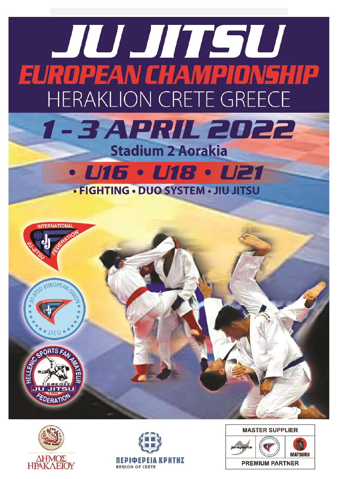





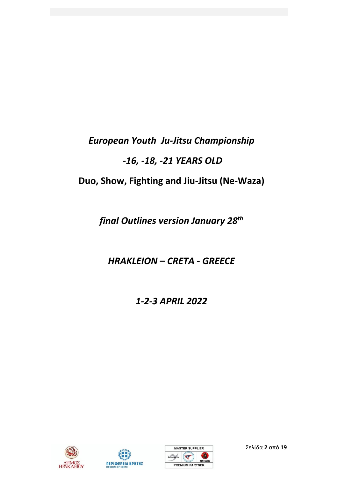## *European Youth Ju-Jitsu Championship -16, -18, -21 YEARS OLD* **Duo, Show, Fighting and Jiu-Jitsu (Ne-Waza)**

*final Outlines version January 28th*

*HRAKLEION – CRETA - GREECE*

*1-2-3 ΑPRIL 2022*







Σελίδα **2** από **19**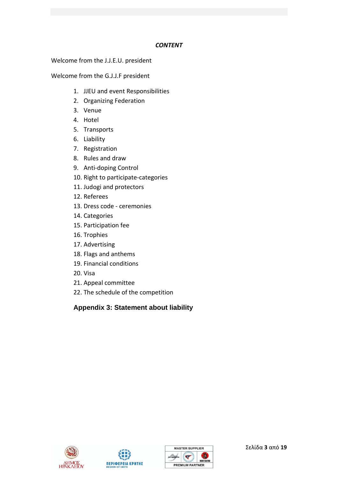#### *CONTENT*

Welcome from the J.J.E.U. president

Welcome from the G.J.J.F president

- 1. JJEU and event Responsibilities
- 2. Organizing Federation
- 3. Venue
- 4. Hotel
- 5. Transports
- 6. Liability
- 7. Registration
- 8. Rules and draw
- 9. Anti-doping Control
- 10. Right to participate-categories
- 11. Judogi and protectors
- 12. Referees
- 13. Dress code ceremonies
- 14. Categories
- 15. Participation fee
- 16. Trophies
- 17. Advertising
- 18. Flags and anthems
- 19. Financial conditions
- 20. Visa
- 21. Appeal committee
- 22. The schedule of the competition

**Appendix 3: Statement about liability** 





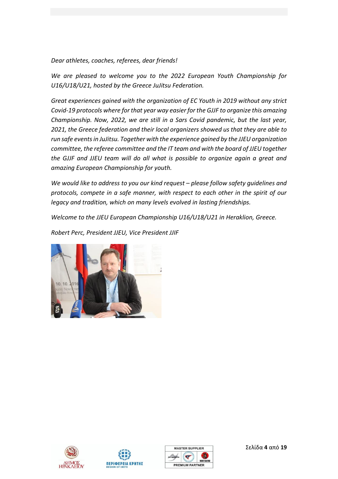*Dear athletes, coaches, referees, dear friends!*

*We are pleased to welcome you to the 2022 European Youth Championship for U16/U18/U21, hosted by the Greece JuJitsu Federation.* 

*Great experiences gained with the organization of EC Youth in 2019 without any strict Covid-19 protocols where for that year way easier for the GJJF to organize this amazing Championship. Now, 2022, we are still in a Sars Covid pandemic, but the last year, 2021, the Greece federation and their local organizers showed us that they are able to run safe events in JuJitsu. Together with the experience gained by the JJEU organization committee, the referee committee and the IT team and with the board of JJEU together the GJJF and JJEU team will do all what is possible to organize again a great and amazing European Championship for youth.*

*We would like to address to you our kind request – please follow safety quidelines and protocols, compete in a safe manner, with respect to each other in the spirit of our legacy and tradition, which on many levels evolved in lasting friendships.*

*Welcome to the JJEU European Championship U16/U18/U21 in Heraklion, Greece.*

*Robert Perc, President JJEU, Vice President JJIF* 









Σελίδα **4** από **19**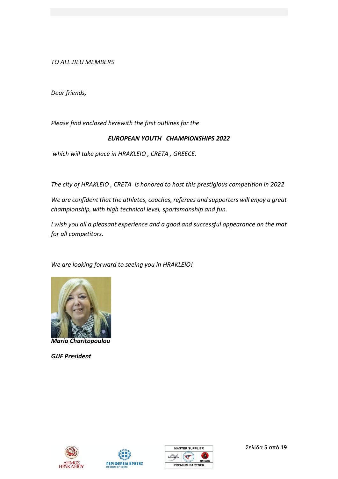*TO ALL JJEU MEMBERS*

*Dear friends,*

*Please find enclosed herewith the first outlines for the*

#### *EUROPEAN YOUTH CHAMPIONSHIPS 2022*

*which will take place in HRAKLEIO , CRETA , GREECE.*

*The city of HRAKLEIO , CRETA is honored to host this prestigious competition in 2022*

*We are confident that the athletes, coaches, referees and supporters will enjoy a great championship, with high technical level, sportsmanship and fun.*

*I wish you all a pleasant experience and a good and successful appearance on the mat for all competitors.*

*We are looking forward to seeing you in HRAKLEIO!*



*Maria Charitopoulou*

*GJJF President*







Σελίδα **5** από **19**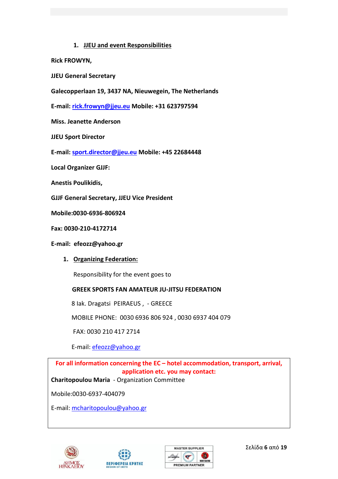#### **1. JJEU and event Responsibilities**

- **Rick FROWYN,**
- **JJEU General Secretary**
- **Galecopperlaan 19, 3437 NA, Nieuwegein, The Netherlands**

**E-mail: [rick.frowyn@jjeu.eu](mailto:rick.frowyn@jjeu.eu) Mobile: +31 623797594** 

**Miss. Jeanette Anderson**

**JJEU Sport Director**

**E-mail: [sport.director@jjeu.eu](mailto:sport.director@jjeu.eu) Mobile: +45 22684448**

**Local Organizer GJJF:**

**Anestis Poulikidis,**

**GJJF General Secretary, JJEU Vice President** 

**Mobile:0030-6936-806924**

**Fax: 0030-210-4172714**

#### **E-mail: [efeozz@yahoo.gr](mailto:efeozz@yahoo.gr)**

**1. Organizing Federation:**

Responsibility for the event goes to

#### **GREEK SPORTS FAN AMATEUR JU-JITSU FEDERATION**

8 Iak. Dragatsi PEIRAEUS , - GREECE

MOBILE PHONE: 0030 6936 806 924 , 0030 6937 404 079

FAX: 0030 210 417 2714

E-mail: [efeozz@yahoo.gr](mailto:efeozz@yahoo.gr)

**For all information concerning the EC – hotel accommodation, transport, arrival, application etc. you may contact:**

**Charitopoulou Maria** - Organization Committee

Mobile:0030-6937-404079

E-mail: [mcharitopoulou@yahoo.gr](mailto:mcharitopoulou@yahoo.gr)







Σελίδα **6** από **19**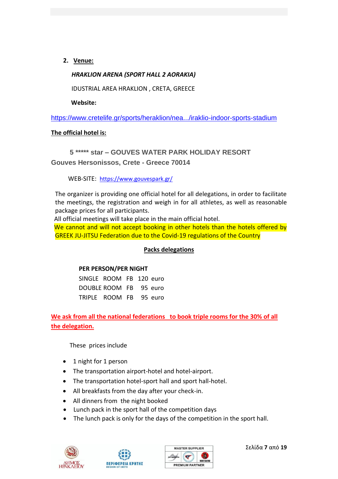**2. Venue:**

#### *HRAKLION ARENA (SPORT HALL 2 AORAKIA)*

IDUSTRIAL AREA HRAKLION , CRETA, GREECE

 **Website:**

<https://www.cretelife.gr/sports/heraklion/nea.../iraklio-indoor-sports-stadium>

#### **The official hotel is:**

 **5 \*\*\*\*\* star – GOUVES WATER PARK HOLIDAY RESORT Gouves Hersonissos, Crete - Greece 70014**

WEB-SITE: <https://www.gouvespark.gr/>

The organizer is providing one official hotel for all delegations, in order to facilitate the meetings, the registration and weigh in for all athletes, as well as reasonable package prices for all participants.

All official meetings will take place in the main official hotel.

We cannot and will not accept booking in other hotels than the hotels offered by GREEK JU-JITSU Federation due to the Covid-19 regulations of the Country

#### **Packs delegations**

#### **PER PERSON/PER NIGHT**

 SINGLE ROOM FB 120 euro DOUBLE ROOM FB 95 euro TRIPLE ROOM FB 95 euro

**We ask from all the national federations to book triple rooms for the 30% of all the delegation.**

These prices include

- 1 night for 1 person
- The transportation airport-hotel and hotel-airport.
- The transportation hotel-sport hall and sport hall-hotel.
- All breakfasts from the day after your check-in.
- All dinners from the night booked
- Lunch pack in the sport hall of the competition days
- The lunch pack is only for the days of the competition in the sport hall.







Σελίδα **7** από **19**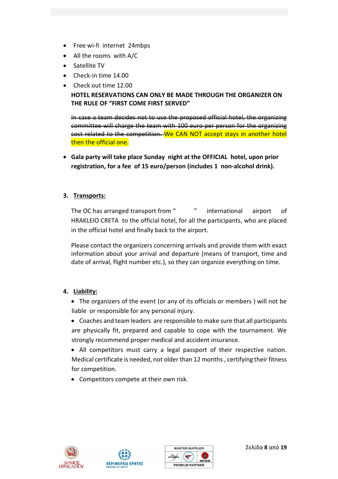- Free wi-fi internet 24mbps
- All the rooms with A/C
- Satellite TV
- Check-in time 14.00
- Check out time 12.00 **HOTEL RESERVATIONS CAN ONLY BE MADE THROUGH THE ORGANIZER ON THE RULE OF "FIRST COME FIRST SERVED"**

In case a team decides not to use the proposed official hotel, the organizing committee will charge the team with 100 euro per person for the organizing cost related to the competition. We CAN NOT accept stays in another hotel then the official one.

• **Gala party will take place Sunday night at the OFFICIAL hotel, upon prior registration, for a fee of 15 euro/person (includes 1 non-alcohol drink).**

#### **3. Transports:**

The OC has arranged transport from ""
international
airport
of HRAKLEIO CRETA to the official hotel, for all the participants, who are placed in the official hotel and finally back to the airport.

Please contact the organizers concerning arrivals and provide them with exact information about your arrival and departure (means of transport, time and date of arrival, flight number etc.), so they can organize everything on time.

#### **4. Liability:**

- The organizers of the event (or any of its officials or members ) will not be liable or responsible for any personal injury.
- Coaches and team leaders are responsible to make sure that all participants are physically fit, prepared and capable to cope with the tournament. We strongly recommend proper medical and accident insurance.
- All competitors must carry a legal passport of their respective nation. Medical certificate is needed, not older than 12 months , certifying their fitness for competition.
- Competitors compete at their own risk.





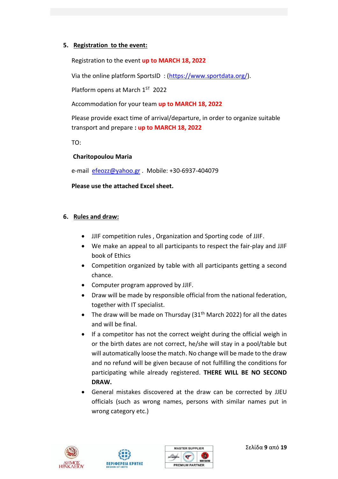#### **5. Registration to the event:**

Registration to the event **up to MARCH 18, 2022** 

Via the online platform SportsID : [\(https://www.sportdata.org/\)](https://www.sportdata.org/ju-jitsu/set-online/veranstaltung_info_main.php?active_menu=calendar&vernr=312#a_eventheadend).

Platform opens at March 1<sup>ST</sup> 2022

Accommodation for your team **up to MARCH 18, 2022** 

Please provide exact time of arrival/departure, in order to organize suitable transport and prepare **: up to MARCH 18, 2022** 

TO:

#### **Charitopoulou Maria**

e-mail [efeozz@yahoo.gr](mailto:efeozz@yahoo.gr) . Mobile: +30-6937-404079

#### **Please use the attached Excel sheet.**

#### **6. Rules and draw:**

- JJIF competition rules , Organization and Sporting code of JJIF.
- We make an appeal to all participants to respect the fair-play and JJIF book of Ethics
- Competition organized by table with all participants getting a second chance.
- Computer program approved by JJIF.
- Draw will be made by responsible official from the national federation, together with IT specialist.
- The draw will be made on Thursday  $(31<sup>th</sup>$  March 2022) for all the dates and will be final.
- If a competitor has not the correct weight during the official weigh in or the birth dates are not correct, he/she will stay in a pool/table but will automatically loose the match. No change will be made to the draw and no refund will be given because of not fulfilling the conditions for participating while already registered. **THERE WILL BE NO SECOND DRAW.**
- General mistakes discovered at the draw can be corrected by JJEU officials (such as wrong names, persons with similar names put in wrong category etc.)





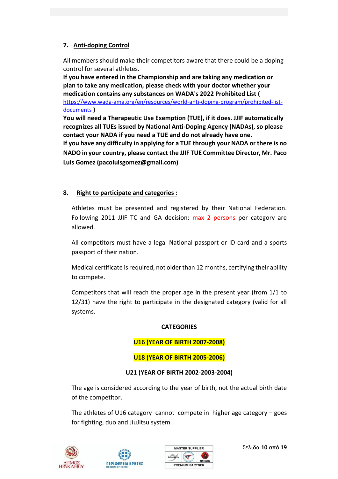#### **7. Anti-doping Control**

All members should make their competitors aware that there could be a doping control for several athletes.

**If you have entered in the Championship and are taking any medication or plan to take any medication, please check with your doctor whether your medication contains any substances on WADA's 2022 Prohibited List (**  [https://www.wada-ama.org/en/resources/world-anti-doping-program/prohibited-list](https://www.wada-ama.org/en/resources/world-anti-doping-program/prohibited-list-documents)[documents](https://www.wada-ama.org/en/resources/world-anti-doping-program/prohibited-list-documents) **)** 

**You will need a Therapeutic Use Exemption (TUE), if it does. JJIF automatically recognizes all TUEs issued by National Anti-Doping Agency (NADAs), so please contact your NADA if you need a TUE and do not already have one.** 

**If you have any difficulty in applying for a TUE through your NADA or there is no NADO in your country, please contact the JJIF TUE Committee Director, Mr. Paco Luis Gomez (pacoluisgomez@gmail.com)**

#### **8. Right to participate and categories :**

Athletes must be presented and registered by their National Federation. Following 2011 JJIF TC and GA decision: max 2 persons per category are allowed.

All competitors must have a legal National passport or ID card and a sports passport of their nation.

Medical certificate is required, not older than 12 months, certifying their ability to compete.

Competitors that will reach the proper age in the present year (from 1/1 to 12/31) have the right to participate in the designated category (valid for all systems.

#### **CATEGORIES**

#### **U16 (YEAR OF BIRTH 2007-2008)**

#### **U18 (YEAR OF BIRTH 2005-2006)**

#### **U21 (YEAR OF BIRTH 2002-2003-2004)**

The age is considered according to the year of birth, not the actual birth date of the competitor.

The athletes of U16 category cannot compete in higher age category – goes for fighting, duo and JiuJitsu system







Σελίδα **10** από **19**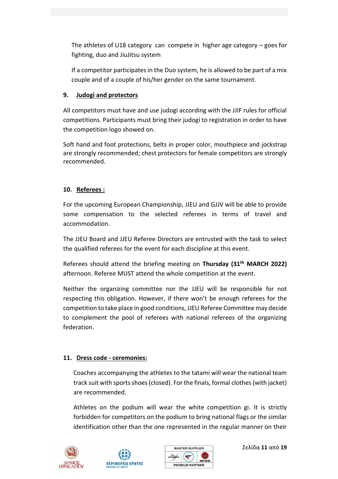The athletes of U18 category can compete in higher age category – goes for fighting, duo and JiuJitsu system

If a competitor participates in the Duo system, he is allowed to be part of a mix couple and of a couple of his/her gender on the same tournament.

#### **9. Judogi and protectors**

All competitors must have and use judogi according with the JJIF rules for official competitions. Participants must bring their judogi to registration in order to have the competition logo showed on.

Soft hand and foot protections, belts in proper color, mouthpiece and jockstrap are strongly recommended; chest protectors for female competitors are strongly recommended.

#### **10. Referees :**

For the upcoming European Championship, JJEU and GJJV will be able to provide some compensation to the selected referees in terms of travel and accommodation.

The JJEU Board and JJEU Referee Directors are entrusted with the task to select the qualified referees for the event for each discipline at this event.

Referees should attend the briefing meeting on **Thursday (31th MARCH 2022)** afternoon. Referee MUST attend the whole competition at the event.

Neither the organizing committee nor the JJEU will be responsible for not respecting this obligation. However, if there won't be enough referees for the competition to take place in good conditions, JJEU Referee Committee may decide to complement the pool of referees with national referees of the organizing federation.

#### **11. Dress code - ceremonies:**

Coaches accompanying the athletes to the tatami will wear the national team track suit with sports shoes (closed). For the finals, formal clothes (with jacket) are recommended.

Athletes on the podium will wear the white competition gi. It is strictly forbidden for competitors on the podium to bring national flags or the similar identification other than the one represented in the regular manner on their







Σελίδα **11** από **19**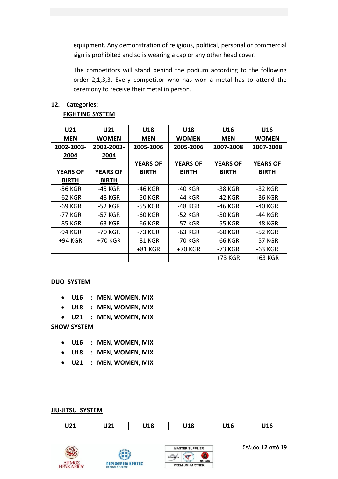equipment. Any demonstration of religious, political, personal or commercial sign is prohibited and so is wearing a cap or any other head cover.

The competitors will stand behind the podium according to the following order 2,1,3,3. Every competitor who has won a metal has to attend the ceremony to receive their metal in person.

### **12. Categories:**

#### **FIGHTING SYSTEM**

| U21             | U21             | U18             | U18             | U16             | U16             |
|-----------------|-----------------|-----------------|-----------------|-----------------|-----------------|
| <b>MEN</b>      | <b>WOMEN</b>    | <b>MEN</b>      | <b>WOMEN</b>    | <b>MEN</b>      | WOMEN           |
| 2002-2003-      | 2002-2003-      | 2005-2006       | 2005-2006       | 2007-2008       | 2007-2008       |
| 2004            | 2004            |                 |                 |                 |                 |
|                 |                 | <b>YEARS OF</b> | <b>YEARS OF</b> | <b>YEARS OF</b> | <b>YEARS OF</b> |
| <b>YEARS OF</b> | <b>YEARS OF</b> | <b>BIRTH</b>    | <b>BIRTH</b>    | <b>BIRTH</b>    | <b>BIRTH</b>    |
| <b>BIRTH</b>    | <b>BIRTH</b>    |                 |                 |                 |                 |
| -56 KGR         | -45 KGR         | -46 KGR         | -40 KGR         | -38 KGR         | -32 KGR         |
| $-62$ KGR       | -48 KGR         | -50 KGR         | -44 KGR         | -42 KGR         | -36 KGR         |
| -69 KGR         | -52 KGR         | -55 KGR         | -48 KGR         | -46 KGR         | -40 KGR         |
| -77 KGR         | -57 KGR         | -60 KGR         | -52 KGR         | -50 KGR         | -44 KGR         |
| -85 KGR         | -63 KGR         | -66 KGR         | -57 KGR         | -55 KGR         | -48 KGR         |
| -94 KGR         | -70 KGR         | -73 KGR         | -63 KGR         | -60 KGR         | -52 KGR         |
| +94 KGR         | +70 KGR         | -81 KGR         | -70 KGR         | -66 KGR         | -57 KGR         |
|                 |                 | +81 KGR         | +70 KGR         | -73 KGR         | -63 KGR         |
|                 |                 |                 |                 | +73 KGR         | +63 KGR         |

#### **DUO SYSTEM**

- **U16 : MEN, WOMEN, MIX**
- **U18 : MEN, WOMEN, MIX**
- **U21 : MEN, WOMEN, MIX**

#### **SHOW SYSTEM**

- **U16 : MEN, WOMEN, MIX**
- **U18 : MEN, WOMEN, MIX**
- **U21 : MEN, WOMEN, MIX**

#### **JIU-JITSU SYSTEM**

| I 194<br>UZI | 171<br>VZI | <b>110</b><br>ס⊥י | <b>140</b><br>┚┸О | U16 | 11 A C<br>JTD |
|--------------|------------|-------------------|-------------------|-----|---------------|
|--------------|------------|-------------------|-------------------|-----|---------------|







Σελίδα **12** από **19**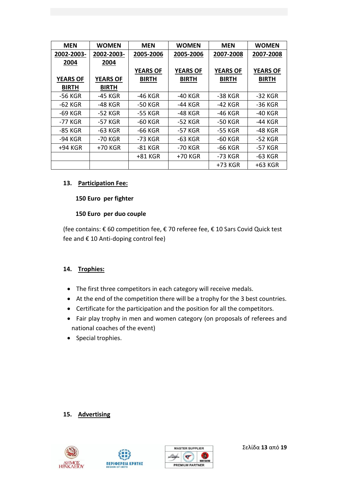| <b>MEN</b>      | <b>WOMEN</b>    | <b>MEN</b>      | <b>WOMEN</b>    | <b>MEN</b>      | <b>WOMEN</b>    |
|-----------------|-----------------|-----------------|-----------------|-----------------|-----------------|
| 2002-2003-      | 2002-2003-      | 2005-2006       | 2005-2006       | 2007-2008       | 2007-2008       |
| 2004            | 2004            |                 |                 |                 |                 |
|                 |                 | <b>YEARS OF</b> | <b>YEARS OF</b> | <b>YEARS OF</b> | <b>YEARS OF</b> |
| <b>YEARS OF</b> | <b>YEARS OF</b> | <b>BIRTH</b>    | <b>BIRTH</b>    | <b>BIRTH</b>    | BIRTH           |
| <b>BIRTH</b>    | <b>BIRTH</b>    |                 |                 |                 |                 |
| -56 KGR         | -45 KGR         | -46 KGR         | -40 KGR         | -38 KGR         | -32 KGR         |
| -62 KGR         | -48 KGR         | -50 KGR         | -44 KGR         | -42 KGR         | -36 KGR         |
| -69 KGR         | -52 KGR         | -55 KGR         | -48 KGR         | -46 KGR         | -40 KGR         |
| -77 KGR         | -57 KGR         | -60 KGR         | -52 KGR         | -50 KGR         | -44 KGR         |
| -85 KGR         | -63 KGR         | -66 KGR         | -57 KGR         | -55 KGR         | -48 KGR         |
| -94 KGR         | -70 KGR         | -73 KGR         | -63 KGR         | -60 KGR         | -52 KGR         |
| +94 KGR         | +70 KGR         | -81 KGR         | -70 KGR         | -66 KGR         | -57 KGR         |
|                 |                 | +81 KGR         | +70 KGR         | -73 KGR         | -63 KGR         |
|                 |                 |                 |                 | +73 KGR         | +63 KGR         |

#### **13. Participation Fee:**

#### **150 Euro per fighter**

#### **150 Euro per duo couple**

(fee contains: € 60 competition fee, € 70 referee fee, € 10 Sars Covid Quick test fee and € 10 Anti-doping control fee)

#### **14. Trophies:**

- The first three competitors in each category will receive medals.
- At the end of the competition there will be a trophy for the 3 best countries.
- Certificate for the participation and the position for all the competitors.
- Fair play trophy in men and women category (on proposals of referees and national coaches of the event)
- Special trophies.

#### **15. Advertising**







Σελίδα **13** από **19**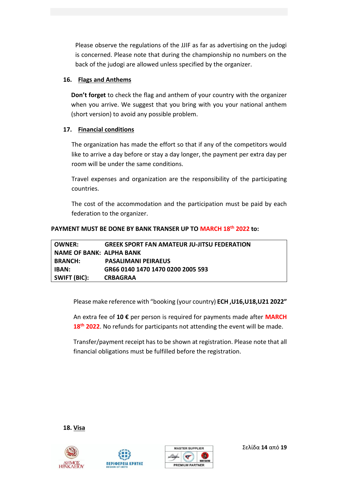Please observe the regulations of the JJIF as far as advertising on the judogi is concerned. Please note that during the championship no numbers on the back of the judogi are allowed unless specified by the organizer.

#### **16. Flags and Anthems**

**Don't forget** to check the flag and anthem of your country with the organizer when you arrive. We suggest that you bring with you your national anthem (short version) to avoid any possible problem.

#### **17. Financial conditions**

The organization has made the effort so that if any of the competitors would like to arrive a day before or stay a day longer, the payment per extra day per room will be under the same conditions.

Travel expenses and organization are the responsibility of the participating countries.

The cost of the accommodation and the participation must be paid by each federation to the organizer.

#### **PAYMENT MUST BE DONE BY BANK TRANSER UP TO MARCH 18th 2022 to:**

| <b>OWNER:</b>            | <b>GREEK SPORT FAN AMATEUR JU-JITSU FEDERATION</b> |
|--------------------------|----------------------------------------------------|
| NAME OF BANK: ALPHA BANK |                                                    |
| <b>BRANCH:</b>           | <b>PASALIMANI PEIRAEUS</b>                         |
| IBAN:                    | GR66 0140 1470 1470 0200 2005 593                  |
| SWIFT (BIC):             | <b>CRBAGRAA</b>                                    |

Please make reference with "booking (your country) **ECH ,U16,U18,U21 2022"** 

An extra fee of **10 €** per person is required for payments made after **MARCH 18th 2022**. No refunds for participants not attending the event will be made.

Transfer/payment receipt has to be shown at registration. Please note that all financial obligations must be fulfilled before the registration.

**18. Visa**







Σελίδα **14** από **19**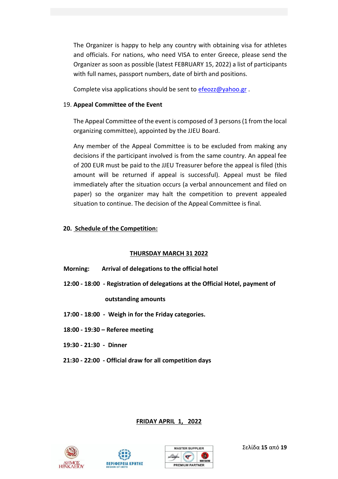The Organizer is happy to help any country with obtaining visa for athletes and officials. For nations, who need VISA to enter Greece, please send the Organizer as soon as possible (latest FEBRUARY 15, 2022) a list of participants with full names, passport numbers, date of birth and positions.

Complete visa applications should be sent to  $efeczz@yahoo.gr$ .

#### 19. **Appeal Committee of the Event**

The Appeal Committee of the event is composed of 3 persons (1 from the local organizing committee), appointed by the JJEU Board.

Any member of the Appeal Committee is to be excluded from making any decisions if the participant involved is from the same country. An appeal fee of 200 EUR must be paid to the JJEU Treasurer before the appeal is filed (this amount will be returned if appeal is successful). Appeal must be filed immediately after the situation occurs (a verbal announcement and filed on paper) so the organizer may halt the competition to prevent appealed situation to continue. The decision of the Appeal Committee is final.

#### **20. Schedule of the Competition:**

#### **THURSDAY MARCH 31 2022**

- **Morning: Arrival of delegations to the official hotel**
- **12:00 - 18:00 - Registration of delegations at the Official Hotel, payment of**

#### **outstanding amounts**

- **17:00 - 18:00 - Weigh in for the Friday categories.**
- **18:00 - 19:30 – Referee meeting**
- **19:30 - 21:30 Dinner**
- **21:30 - 22:00 - Official draw for all competition days**

#### **FRIDAY APRIL 1, 2022**







Σελίδα **15** από **19**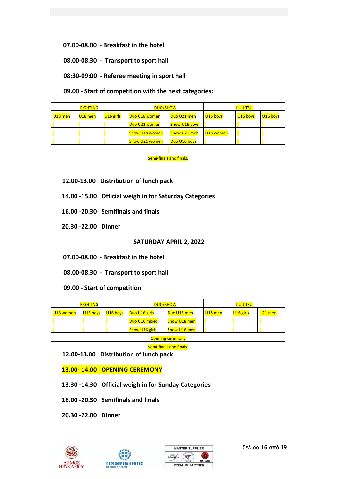**07.00-08.00 - Breakfast in the hotel**

 **08.00-08.30 - Transport to sport hall** 

 **08:30-09:00 - Referee meeting in sport hall** 

 **09.00 - Start of competition with the next categories:** 

| <b>FIGHTING</b>         |           | <b>DUO/SHOW</b>       |                | <b>JIU-JITSU</b>     |           |          |                      |
|-------------------------|-----------|-----------------------|----------------|----------------------|-----------|----------|----------------------|
| $U18$ men               | $U18$ men | U <sub>16</sub> girls | Duo U18 women  | Duo U21 men          | U16 boys  | U16 boys | U <sub>16</sub> boys |
|                         |           |                       | Duo U21 women  | <b>Show U16 boys</b> |           |          |                      |
|                         |           |                       | Show U18 women | Show U21 men         | U18 women |          |                      |
|                         |           |                       | Show U21 women | Duo U16 boys         |           |          |                      |
|                         |           |                       |                |                      |           |          |                      |
| Semi-finals and finals. |           |                       |                |                      |           |          |                      |

- **12.00-13.00 Distribution of lunch pack**
- **14.00 -15.00 Official weigh in for Saturday Categories**
- **16.00 -20.30 Semifinals and finals**
- **20.30 -22.00 Dinner**

#### **SATURDAY APRIL 2, 2022**

- **07.00-08.00 - Breakfast in the hotel**
- **08.00-08.30 Transport to sport hall**

 **09.00 - Start of competition**

| <b>FIGHTING</b>         |                      |          | <b>DUO/SHOW</b> |              | <b>JIU-JITSU</b> |             |           |
|-------------------------|----------------------|----------|-----------------|--------------|------------------|-------------|-----------|
| U18 women               | U <sub>16</sub> boys | U16 boys | Duo U16 girls   | Duo U18 men  | $U18$ men        | $U16$ girls | $U21$ men |
|                         |                      |          | Duo U16 mixed   | Show U18 men |                  |             |           |
|                         |                      |          | Show U16 girls  | Show U16 men |                  |             |           |
| <b>Opening ceremony</b> |                      |          |                 |              |                  |             |           |
| Semi-finals and finals. |                      |          |                 |              |                  |             |           |

**12.00-13.00 Distribution of lunch pack**

 **13.00- 14.00 OPENING CEREMONY**

- **13.30 -14.30 Official weigh in for Sunday Categories**
- **16.00 -20.30 Semifinals and finals**
- **20.30 -22.00 Dinner**







Σελίδα **16** από **19**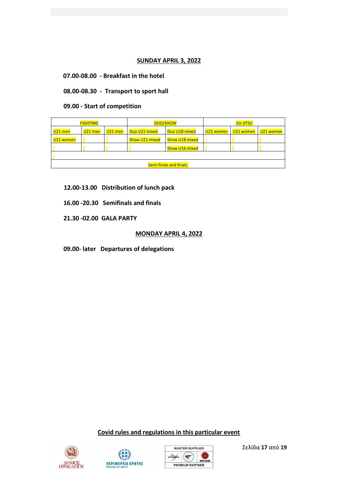#### **SUNDAY APRIL 3, 2022**

**07.00-08.00 - Breakfast in the hotel**

 **08.00-08.30 - Transport to sport hall** 

 **09.00 - Start of competition**

| <b>FIGHTING</b>         |           | <b>DUO/SHOW</b> |                | <b>JIU-JITSU</b>      |           |           |           |
|-------------------------|-----------|-----------------|----------------|-----------------------|-----------|-----------|-----------|
| $U21$ men               | $U21$ men | $U21$ men       | Duo U21 mixed  | Duo U18 mixed         | U21 women | U21 women | U21 women |
| U21 women               |           |                 | Show U21 mixed | <b>Show U18 mixed</b> |           |           |           |
|                         |           |                 |                | Show U16 mixed        |           |           |           |
|                         |           |                 |                |                       |           |           |           |
| Semi-finals and finals. |           |                 |                |                       |           |           |           |

 **12.00-13.00 Distribution of lunch pack**

 **16.00 -20.30 Semifinals and finals** 

 **21.30 -02.00 GALA PARTY**

#### **MONDAY APRIL 4, 2022**

 **09.00- later Departures of delegations** 

**Covid rules and regulations in this particular event**







Σελίδα **17** από **19**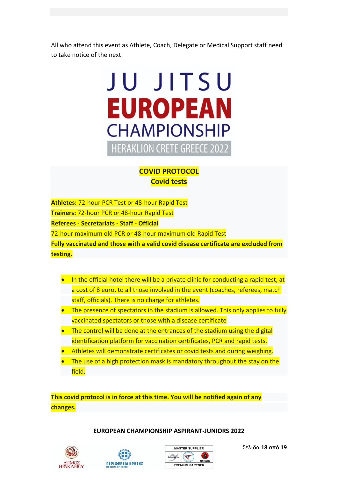All who attend this event as Athlete, Coach, Delegate or Medical Support staff need to take notice of the next:

# JU JITSU **EUROPEAN CHAMPIONSHIP HERAKLION CRETE GREECE 2022**

#### **COVID PROTOCOL Covid tests**

**Athletes:** 72-hour PCR Test or 48-hour Rapid Test **Trainers:** 72-hour PCR or 48-hour Rapid Test **Referees - Secretariats - Staff - Official** 72-hour maximum old PCR or 48-hour maximum old Rapid Test **Fully vaccinated and those with a valid covid disease certificate are excluded from testing.**

- In the official hotel there will be a private clinic for conducting a rapid test, at a cost of 8 euro, to all those involved in the event (coaches, referees, match staff, officials). There is no charge for athletes.
- The presence of spectators in the stadium is allowed. This only applies to fully vaccinated spectators or those with a disease certificate
- The control will be done at the entrances of the stadium using the digital identification platform for vaccination certificates, PCR and rapid tests.
- Athletes will demonstrate certificates or covid tests and during weighing.
- The use of a high protection mask is mandatory throughout the stay on the field.

**This covid protocol is in force at this time. You will be notified again of any changes.**

#### **EUROPEAN CHAMPIONSHIP ASPIRANT-JUNIORS 2022**







Σελίδα **18** από **19**